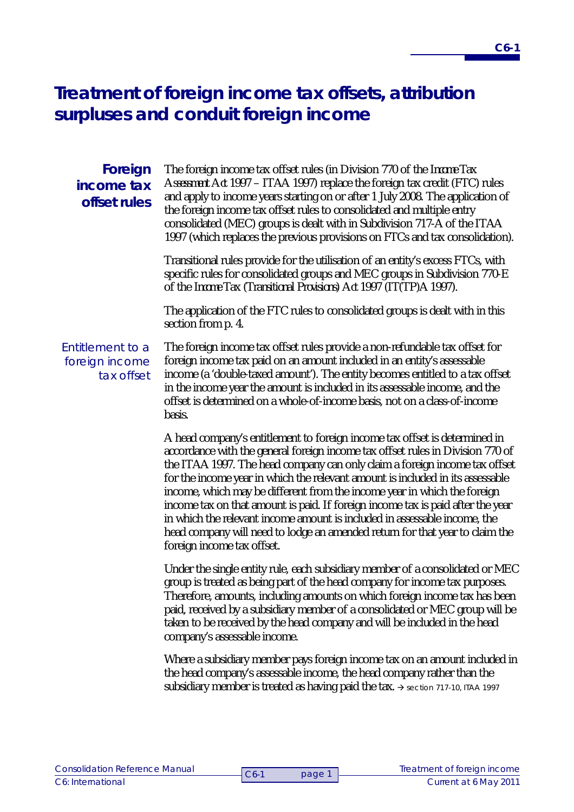# **Treatment of foreign income tax offsets, attribution surpluses and conduit foreign income**

| Foreign<br>income tax<br>offset rules            | The foreign income tax offset rules (in Division 770 of the Income Tax<br>Assessment Act 1997 - ITAA 1997) replace the foreign tax credit (FTC) rules<br>and apply to income years starting on or after 1 July 2008. The application of<br>the foreign income tax offset rules to consolidated and multiple entry<br>consolidated (MEC) groups is dealt with in Subdivision 717-A of the ITAA<br>1997 (which replaces the previous provisions on FTCs and tax consolidation).                                                                                                                                                                                                          |
|--------------------------------------------------|----------------------------------------------------------------------------------------------------------------------------------------------------------------------------------------------------------------------------------------------------------------------------------------------------------------------------------------------------------------------------------------------------------------------------------------------------------------------------------------------------------------------------------------------------------------------------------------------------------------------------------------------------------------------------------------|
|                                                  | Transitional rules provide for the utilisation of an entity's excess FTCs, with<br>specific rules for consolidated groups and MEC groups in Subdivision 770-E<br>of the Income Tax (Transitional Provisions) Act 1997 (IT(TP)A 1997).                                                                                                                                                                                                                                                                                                                                                                                                                                                  |
|                                                  | The application of the FTC rules to consolidated groups is dealt with in this<br>section from p. 4.                                                                                                                                                                                                                                                                                                                                                                                                                                                                                                                                                                                    |
| Entitlement to a<br>foreign income<br>tax offset | The foreign income tax offset rules provide a non-refundable tax offset for<br>foreign income tax paid on an amount included in an entity's assessable<br>income (a 'double-taxed amount'). The entity becomes entitled to a tax offset<br>in the income year the amount is included in its assessable income, and the<br>offset is determined on a whole-of-income basis, not on a class-of-income<br>basis.                                                                                                                                                                                                                                                                          |
|                                                  | A head company's entitlement to foreign income tax offset is determined in<br>accordance with the general foreign income tax offset rules in Division 770 of<br>the ITAA 1997. The head company can only claim a foreign income tax offset<br>for the income year in which the relevant amount is included in its assessable<br>income, which may be different from the income year in which the foreign<br>income tax on that amount is paid. If foreign income tax is paid after the year<br>in which the relevant income amount is included in assessable income, the<br>head company will need to lodge an amended return for that year to claim the<br>foreign income tax offset. |
|                                                  | Under the single entity rule, each subsidiary member of a consolidated or MEC<br>group is treated as being part of the head company for income tax purposes.<br>Therefore, amounts, including amounts on which foreign income tax has been<br>paid, received by a subsidiary member of a consolidated or MEC group will be<br>taken to be received by the head company and will be included in the head<br>company's assessable income.                                                                                                                                                                                                                                                |
|                                                  | Where a subsidiary member pays foreign income tax on an amount included in<br>the head company's assessable income, the head company rather than the<br>subsidiary member is treated as having paid the tax. $\rightarrow$ section 717-10, ITAA 1997                                                                                                                                                                                                                                                                                                                                                                                                                                   |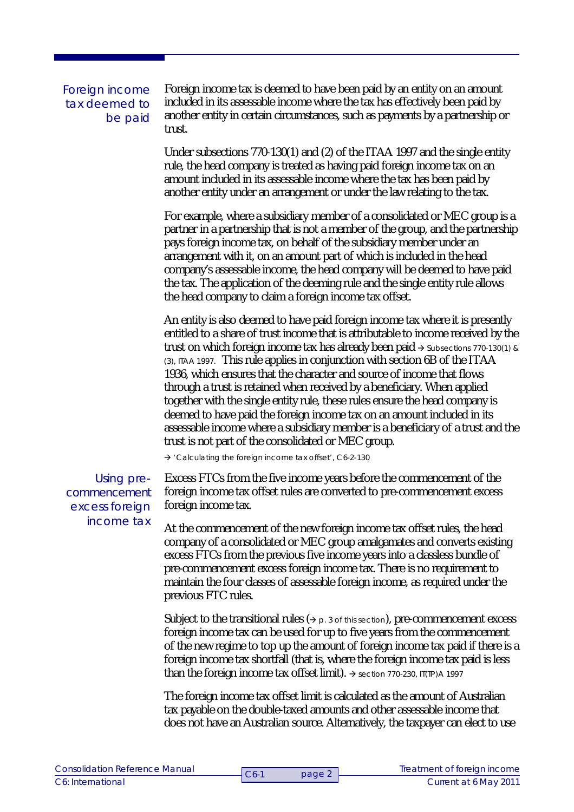Foreign income tax deemed to be paid Foreign income tax is deemed to have been paid by an entity on an amount included in its assessable income where the tax has effectively been paid by another entity in certain circumstances, such as payments by a partnership or trust.

Under subsections 770-130(1) and (2) of the ITAA 1997 and the single entity rule, the head company is treated as having paid foreign income tax on an amount included in its assessable income where the tax has been paid by another entity under an arrangement or under the law relating to the tax.

For example, where a subsidiary member of a consolidated or MEC group is a partner in a partnership that is not a member of the group, and the partnership pays foreign income tax, on behalf of the subsidiary member under an arrangement with it, on an amount part of which is included in the head company's assessable income, the head company will be deemed to have paid the tax. The application of the deeming rule and the single entity rule allows the head company to claim a foreign income tax offset.

An entity is also deemed to have paid foreign income tax where it is presently entitled to a share of trust income that is attributable to income received by the trust on which foreign income tax has already been paid  $\rightarrow$  Subsections 770-130(1) & (3), ITAA 1997. This rule applies in conjunction with section 6B of the ITAA 1936, which ensures that the character and source of income that flows through a trust is retained when received by a beneficiary. When applied together with the single entity rule, these rules ensure the head company is deemed to have paid the foreign income tax on an amount included in its assessable income where a subsidiary member is a beneficiary of a trust and the trust is not part of the consolidated or MEC group.

'Calculating the foreign income tax offset', C6-2-130

Using precommencement excess foreign income tax

Excess FTCs from the five income years before the commencement of the foreign income tax offset rules are converted to pre-commencement excess foreign income tax.

At the commencement of the new foreign income tax offset rules, the head company of a consolidated or MEC group amalgamates and converts existing excess FTCs from the previous five income years into a classless bundle of pre-commencement excess foreign income tax. There is no requirement to maintain the four classes of assessable foreign income, as required under the previous FTC rules.

Subject to the transitional rules  $(2)$  p. 3 of this section), pre-commencement excess foreign income tax can be used for up to five years from the commencement of the new regime to top up the amount of foreign income tax paid if there is a foreign income tax shortfall (that is, where the foreign income tax paid is less than the foreign income tax offset limit).  $\rightarrow$  section 770-230, IT(TP)A 1997

The foreign income tax offset limit is calculated as the amount of Australian tax payable on the double-taxed amounts and other assessable income that does not have an Australian source. Alternatively, the taxpayer can elect to use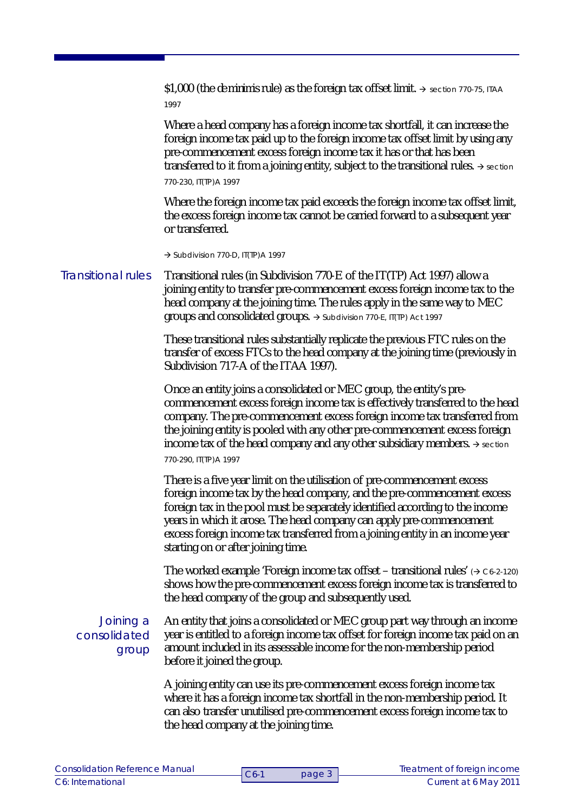\$1,000 (the *de minimis* rule) as the foreign tax offset limit.  $\rightarrow$  section 770-75, ITAA 1997

Where a head company has a foreign income tax shortfall, it can increase the foreign income tax paid up to the foreign income tax offset limit by using any pre-commencement excess foreign income tax it has or that has been transferred to it from a joining entity, subject to the transitional rules.  $\rightarrow$  section 770-230, IT(TP)A 1997

Where the foreign income tax paid exceeds the foreign income tax offset limit, the excess foreign income tax cannot be carried forward to a subsequent year or transferred.

 $\rightarrow$  Subdivision 770-D, IT(TP)A 1997

Transitional rules (in Subdivision 770-E of the IT(TP) Act 1997) allow a joining entity to transfer pre-commencement excess foreign income tax to the head company at the joining time. The rules apply in the same way to MEC groups and consolidated groups.  $\rightarrow$  Subdivision 770-E, IT(TP) Act 1997 Transitional rules

> These transitional rules substantially replicate the previous FTC rules on the transfer of excess FTCs to the head company at the joining time (previously in Subdivision 717-A of the ITAA 1997).

> Once an entity joins a consolidated or MEC group, the entity's precommencement excess foreign income tax is effectively transferred to the head company. The pre-commencement excess foreign income tax transferred from the joining entity is pooled with any other pre-commencement excess foreign income tax of the head company and any other subsidiary members.  $\rightarrow$  section 770-290, IT(TP)A 1997

There is a five year limit on the utilisation of pre-commencement excess foreign income tax by the head company, and the pre-commencement excess foreign tax in the pool must be separately identified according to the income years in which it arose. The head company can apply pre-commencement excess foreign income tax transferred from a joining entity in an income year starting on or after joining time.

The worked example 'Foreign income tax offset – transitional rules'  $(3.62 \times 10^{-10})$ shows how the pre-commencement excess foreign income tax is transferred to the head company of the group and subsequently used.

Joining a consolidated group

An entity that joins a consolidated or MEC group part way through an income year is entitled to a foreign income tax offset for foreign income tax paid on an amount included in its assessable income for the non-membership period before it joined the group.

A joining entity can use its pre-commencement excess foreign income tax where it has a foreign income tax shortfall in the non-membership period. It can also transfer unutilised pre-commencement excess foreign income tax to the head company at the joining time.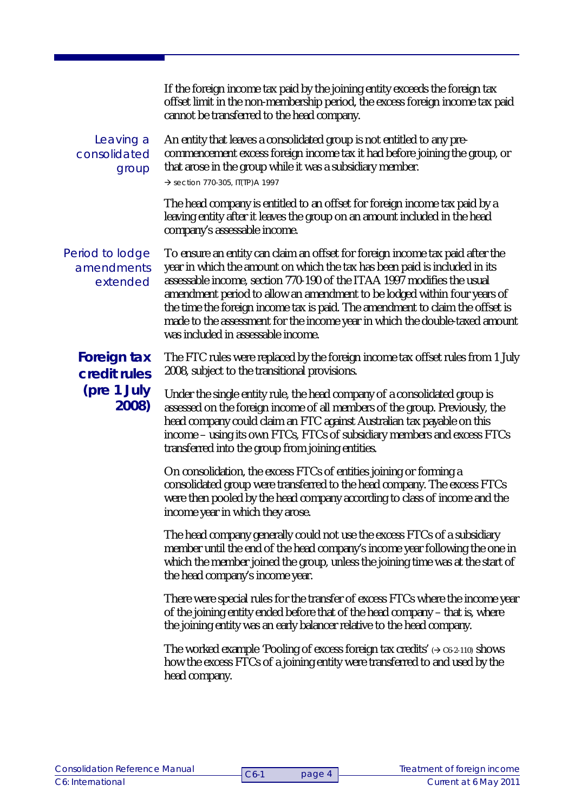If the foreign income tax paid by the joining entity exceeds the foreign tax offset limit in the non-membership period, the excess foreign income tax paid cannot be transferred to the head company.

## Leaving a consolidated group

An entity that leaves a consolidated group is not entitled to any precommencement excess foreign income tax it had before joining the group, or that arose in the group while it was a subsidiary member.  $\rightarrow$  section 770-305, IT(TP) A 1997

The head company is entitled to an offset for foreign income tax paid by a leaving entity after it leaves the group on an amount included in the head company's assessable income.

Period to lodge amendments extended

To ensure an entity can claim an offset for foreign income tax paid after the year in which the amount on which the tax has been paid is included in its assessable income, section 770-190 of the ITAA 1997 modifies the usual amendment period to allow an amendment to be lodged within four years of the time the foreign income tax is paid. The amendment to claim the offset is made to the assessment for the income year in which the double-taxed amount was included in assessable income.

**Foreign tax credit rules (pre 1 July 2008)**

The FTC rules were replaced by the foreign income tax offset rules from 1 July 2008, subject to the transitional provisions.

Under the single entity rule, the head company of a consolidated group is assessed on the foreign income of all members of the group. Previously, the head company could claim an FTC against Australian tax payable on this income – using its own FTCs, FTCs of subsidiary members and excess FTCs transferred into the group from joining entities.

On consolidation, the excess FTCs of entities joining or forming a consolidated group were transferred to the head company. The excess FTCs were then pooled by the head company according to class of income and the income year in which they arose.

The head company generally could not use the excess FTCs of a subsidiary member until the end of the head company's income year following the one in which the member joined the group, unless the joining time was at the start of the head company's income year.

There were special rules for the transfer of excess FTCs where the income year of the joining entity ended before that of the head company – that is, where the joining entity was an early balancer relative to the head company.

The worked example 'Pooling of excess foreign tax credits'  $\rightarrow$   $C6-2-110$ ) shows how the excess FTCs of a joining entity were transferred to and used by the head company.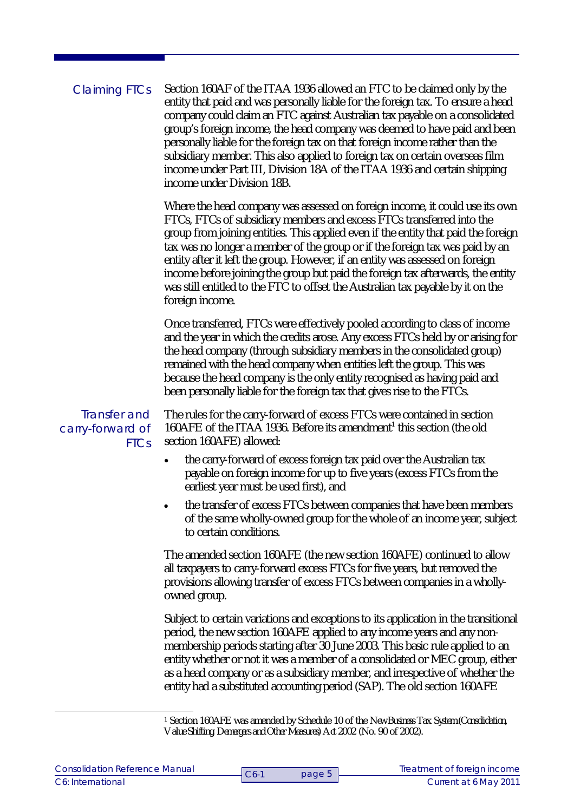Section 160AF of the ITAA 1936 allowed an FTC to be claimed only by the entity that paid and was personally liable for the foreign tax. To ensure a head company could claim an FTC against Australian tax payable on a consolidated group's foreign income, the head company was deemed to have paid and been personally liable for the foreign tax on that foreign income rather than the subsidiary member. This also applied to foreign tax on certain overseas film income under Part III, Division 18A of the ITAA 1936 and certain shipping income under Division 18B. Where the head company was assessed on foreign income, it could use its own FTCs, FTCs of subsidiary members and excess FTCs transferred into the group from joining entities. This applied even if the entity that paid the foreign tax was no longer a member of the group or if the foreign tax was paid by an entity after it left the group. However, if an entity was assessed on foreign income before joining the group but paid the foreign tax afterwards, the entity was still entitled to the FTC to offset the Australian tax payable by it on the foreign income. Once transferred, FTCs were effectively pooled according to class of income and the year in which the credits arose. Any excess FTCs held by or arising for the head company (through subsidiary members in the consolidated group) remained with the head company when entities left the group. This was because the head company is the only entity recognised as having paid and been personally liable for the foreign tax that gives rise to the FTCs. The rules for the carry-forward of excess FTCs were contained in section 160AFE of the ITAA 1936. Before its amendment<sup>1</sup> this section (the old section 160AFE) allowed: • the carry-forward of excess foreign tax paid over the Australian tax payable on foreign income for up to five years (excess FTCs from the earliest year must be used first), and the transfer of excess FTCs between companies that have been members of the same wholly-owned group for the whole of an income year, subject to certain conditions. The amended section 160AFE (the new section 160AFE) continued to allow all taxpayers to carry-forward excess FTCs for five years, but removed the provisions allowing transfer of excess FTCs between companies in a whollyowned group. Subject to certain variations and exceptions to its application in the transitional period, the new section 160AFE applied to any income years and any nonmembership periods starting after 30 June 2003. This basic rule applied to an entity whether or not it was a member of a consolidated or MEC group, either Claiming FTCs Transfer and carry-forward of **FTCs** 

as a head company or as a subsidiary member, and irrespective of whether the entity had a substituted accounting period (SAP). The old section 160AFE

<sup>1</sup> Section 160AFE was amended by Schedule 10 of the *New Business Tax System (Consolidation, Value Shifting, Demergers and Other Measures) Act 2002* (No. 90 of 2002).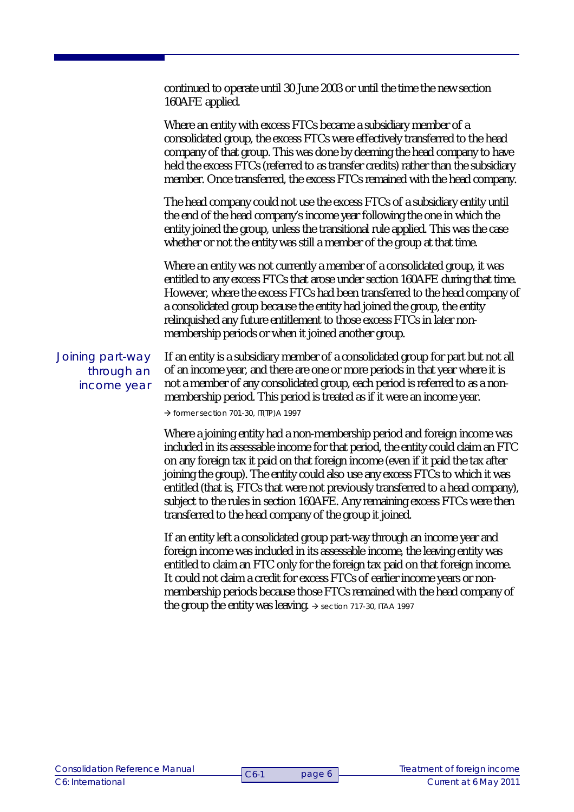continued to operate until 30 June 2003 or until the time the new section 160AFE applied. Where an entity with excess FTCs became a subsidiary member of a consolidated group, the excess FTCs were effectively transferred to the head company of that group. This was done by deeming the head company to have held the excess FTCs (referred to as transfer credits) rather than the subsidiary member. Once transferred, the excess FTCs remained with the head company. The head company could not use the excess FTCs of a subsidiary entity until the end of the head company's income year following the one in which the entity joined the group, unless the transitional rule applied. This was the case whether or not the entity was still a member of the group at that time. Where an entity was not currently a member of a consolidated group, it was entitled to any excess FTCs that arose under section 160AFE during that time. However, where the excess FTCs had been transferred to the head company of a consolidated group because the entity had joined the group, the entity relinquished any future entitlement to those excess FTCs in later nonmembership periods or when it joined another group. If an entity is a subsidiary member of a consolidated group for part but not all of an income year, and there are one or more periods in that year where it is not a member of any consolidated group, each period is referred to as a nonmembership period. This period is treated as if it were an income year.  $\rightarrow$  former section 701-30, IT(TP) A 1997 Where a joining entity had a non-membership period and foreign income was included in its assessable income for that period, the entity could claim an FTC on any foreign tax it paid on that foreign income (even if it paid the tax after joining the group). The entity could also use any excess FTCs to which it was entitled (that is, FTCs that were not previously transferred to a head company), subject to the rules in section 160AFE. Any remaining excess FTCs were then transferred to the head company of the group it joined. If an entity left a consolidated group part-way through an income year and Joining part-way through an income year

foreign income was included in its assessable income, the leaving entity was entitled to claim an FTC only for the foreign tax paid on that foreign income. It could not claim a credit for excess FTCs of earlier income years or nonmembership periods because those FTCs remained with the head company of the group the entity was leaving.  $\rightarrow$  section 717-30, ITAA 1997

page 6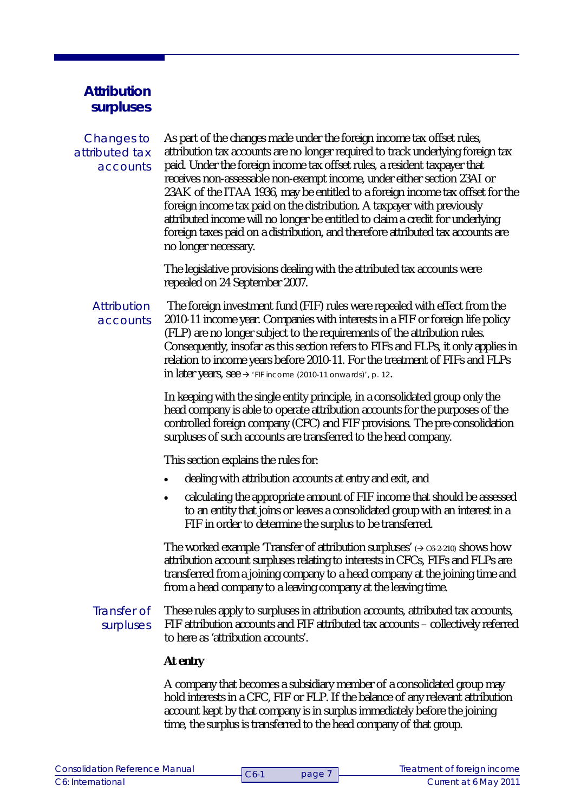## **Attribution surpluses**

## Changes to attributed tax accounts

As part of the changes made under the foreign income tax offset rules, attribution tax accounts are no longer required to track underlying foreign tax paid. Under the foreign income tax offset rules, a resident taxpayer that receives non-assessable non-exempt income, under either section 23AI or 23AK of the ITAA 1936, may be entitled to a foreign income tax offset for the foreign income tax paid on the distribution. A taxpayer with previously attributed income will no longer be entitled to claim a credit for underlying foreign taxes paid on a distribution, and therefore attributed tax accounts are no longer necessary.

The legislative provisions dealing with the attributed tax accounts were repealed on 24 September 2007.

### **Attribution** accounts

The foreign investment fund (FIF) rules were repealed with effect from the 2010-11 income year. Companies with interests in a FIF or foreign life policy (FLP) are no longer subject to the requirements of the attribution rules. Consequently, insofar as this section refers to FIFs and FLPs, it only applies in relation to income years before 2010-11. For the treatment of FIFs and FLPs in later years, see  $\rightarrow$  'FIF income (2010-11 onwards)', p. 12.

In keeping with the single entity principle, in a consolidated group only the head company is able to operate attribution accounts for the purposes of the controlled foreign company (CFC) and FIF provisions. The pre-consolidation surpluses of such accounts are transferred to the head company.

This section explains the rules for:

- dealing with attribution accounts at entry and exit, and
- calculating the appropriate amount of FIF income that should be assessed to an entity that joins or leaves a consolidated group with an interest in a FIF in order to determine the surplus to be transferred.

The worked example 'Transfer of attribution surpluses'  $(2.662 \cdot 210)$  shows how attribution account surpluses relating to interests in CFCs, FIFs and FLPs are transferred from a joining company to a head company at the joining time and from a head company to a leaving company at the leaving time.

## Transfer of surpluses

These rules apply to surpluses in attribution accounts, attributed tax accounts, FIF attribution accounts and FIF attributed tax accounts – collectively referred to here as 'attribution accounts'.

## **At entry**

A company that becomes a subsidiary member of a consolidated group may hold interests in a CFC, FIF or FLP. If the balance of any relevant attribution account kept by that company is in surplus immediately before the joining time, the surplus is transferred to the head company of that group.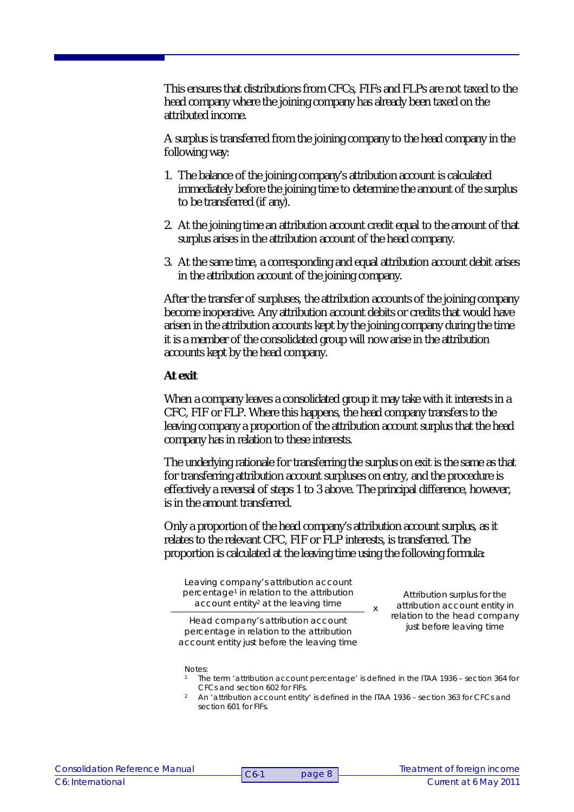This ensures that distributions from CFCs, FIFs and FLPs are not taxed to the head company where the joining company has already been taxed on the attributed income.

A surplus is transferred from the joining company to the head company in the following way:

- 1. The balance of the joining company's attribution account is calculated immediately before the joining time to determine the amount of the surplus to be transferred (if any).
- 2. At the joining time an attribution account credit equal to the amount of that surplus arises in the attribution account of the head company.
- 3. At the same time, a corresponding and equal attribution account debit arises in the attribution account of the joining company.

After the transfer of surpluses, the attribution accounts of the joining company become inoperative. Any attribution account debits or credits that would have arisen in the attribution accounts kept by the joining company during the time it is a member of the consolidated group will now arise in the attribution accounts kept by the head company.

#### **At exit**

Notes:

When a company leaves a consolidated group it may take with it interests in a CFC, FIF or FLP. Where this happens, the head company transfers to the leaving company a proportion of the attribution account surplus that the head company has in relation to these interests.

The underlying rationale for transferring the surplus on exit is the same as that for transferring attribution account surpluses on entry, and the procedure is effectively a reversal of steps 1 to 3 above. The principal difference, however, is in the amount transferred.

Only a proportion of the head company's attribution account surplus, as it relates to the relevant CFC, FIF or FLP interests, is transferred. The proportion is calculated at the leaving time using the following formula:

Leaving company's attribution account percentage<sup>1</sup> in relation to the attribution account entity<sup>2</sup> at the leaving time

Attribution surplus for the attribution account entity in relation to the head company just before leaving time

Head company's attribution account percentage in relation to the attribution account entity just before the leaving time

 $\overline{\phantom{a}}$  x

- <sup>1</sup> The term 'attribution account percentage' is defined in the ITAA 1936 section 364 for CFCs and section 602 for FIFs.
- <sup>2</sup> An 'attribution account entity' is defined in the ITAA 1936 section 363 for CFCs and section 601 for FIFs.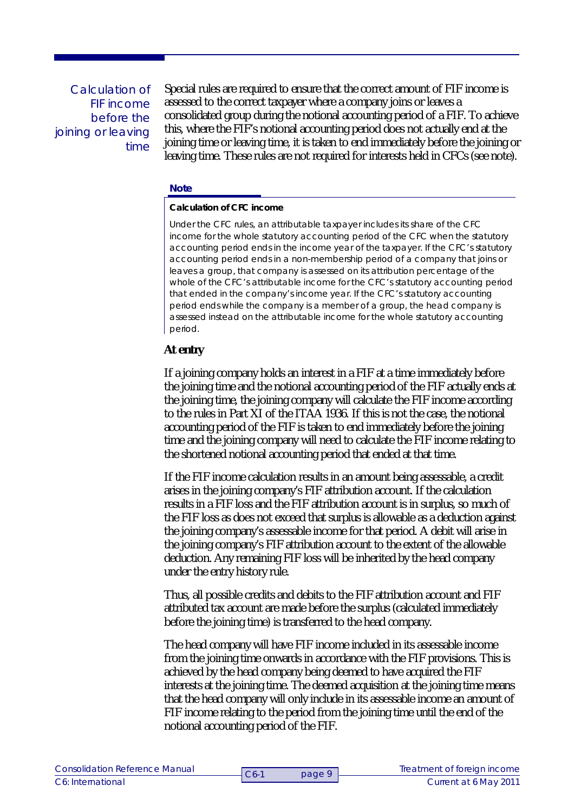Calculation of FIF income before the joining or leaving time

Special rules are required to ensure that the correct amount of FIF income is assessed to the correct taxpayer where a company joins or leaves a consolidated group during the notional accounting period of a FIF. To achieve this, where the FIF's notional accounting period does not actually end at the joining time or leaving time, it is taken to end immediately before the joining or leaving time. These rules are not required for interests held in CFCs (see note).

#### **Note**

#### **Calculation of CFC income**

Under the CFC rules, an attributable taxpayer includes its share of the CFC income for the whole statutory accounting period of the CFC when the statutory accounting period ends in the income year of the taxpayer. If the CFC's statutory accounting period ends in a non-membership period of a company that joins or leaves a group, that company is assessed on its attribution percentage of the whole of the CFC's attributable income for the CFC's statutory accounting period that ended in the company's income year. If the CFC's statutory accounting period ends while the company is a member of a group, the head company is assessed instead on the attributable income for the whole statutory accounting period.

#### **At entry**

If a joining company holds an interest in a FIF at a time immediately before the joining time and the notional accounting period of the FIF actually ends at the joining time, the joining company will calculate the FIF income according to the rules in Part XI of the ITAA 1936. If this is not the case, the notional accounting period of the FIF is taken to end immediately before the joining time and the joining company will need to calculate the FIF income relating to the shortened notional accounting period that ended at that time.

If the FIF income calculation results in an amount being assessable, a credit arises in the joining company's FIF attribution account. If the calculation results in a FIF loss and the FIF attribution account is in surplus, so much of the FIF loss as does not exceed that surplus is allowable as a deduction against the joining company's assessable income for that period. A debit will arise in the joining company's FIF attribution account to the extent of the allowable deduction. Any remaining FIF loss will be inherited by the head company under the entry history rule.

Thus, all possible credits and debits to the FIF attribution account and FIF attributed tax account are made before the surplus (calculated immediately before the joining time) is transferred to the head company.

The head company will have FIF income included in its assessable income from the joining time onwards in accordance with the FIF provisions. This is achieved by the head company being deemed to have acquired the FIF interests at the joining time. The deemed acquisition at the joining time means that the head company will only include in its assessable income an amount of FIF income relating to the period from the joining time until the end of the notional accounting period of the FIF.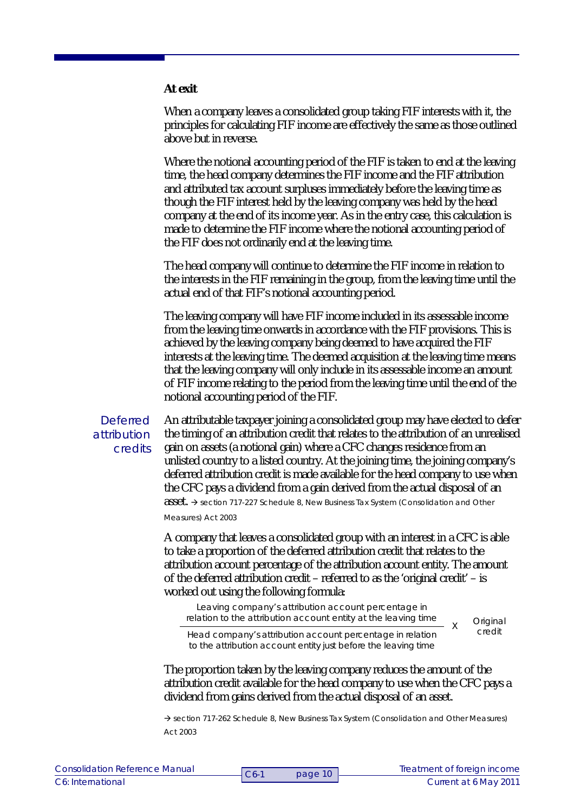**At exit**

When a company leaves a consolidated group taking FIF interests with it, the principles for calculating FIF income are effectively the same as those outlined above but in reverse.

Where the notional accounting period of the FIF is taken to end at the leaving time, the head company determines the FIF income and the FIF attribution and attributed tax account surpluses immediately before the leaving time as though the FIF interest held by the leaving company was held by the head company at the end of its income year. As in the entry case, this calculation is made to determine the FIF income where the notional accounting period of the FIF does not ordinarily end at the leaving time.

The head company will continue to determine the FIF income in relation to the interests in the FIF remaining in the group, from the leaving time until the actual end of that FIF's notional accounting period.

The leaving company will have FIF income included in its assessable income from the leaving time onwards in accordance with the FIF provisions. This is achieved by the leaving company being deemed to have acquired the FIF interests at the leaving time. The deemed acquisition at the leaving time means that the leaving company will only include in its assessable income an amount of FIF income relating to the period from the leaving time until the end of the notional accounting period of the FIF.

**Deferred** attribution credits

An attributable taxpayer joining a consolidated group may have elected to defer the timing of an attribution credit that relates to the attribution of an unrealised gain on assets (a notional gain) where a CFC changes residence from an unlisted country to a listed country. At the joining time, the joining company's deferred attribution credit is made available for the head company to use when the CFC pays a dividend from a gain derived from the actual disposal of an asset. → section 717-227 Schedule 8, New Business Tax System (Consolidation and Other *Measures) Act 2003*

A company that leaves a consolidated group with an interest in a CFC is able to take a proportion of the deferred attribution credit that relates to the attribution account percentage of the attribution account entity. The amount of the deferred attribution credit – referred to as the 'original credit' – is worked out using the following formula:

Leaving company's attribution account percentage in relation to the attribution account entity at the leaving time

**Original** credit

X

Head company's attribution account percentage in relation to the attribution account entity just before the leaving time

The proportion taken by the leaving company reduces the amount of the attribution credit available for the head company to use when the CFC pays a dividend from gains derived from the actual disposal of an asset.

 section 717-262 Schedule 8, *New Business Tax System (Consolidation and Other Measures) Act 2003*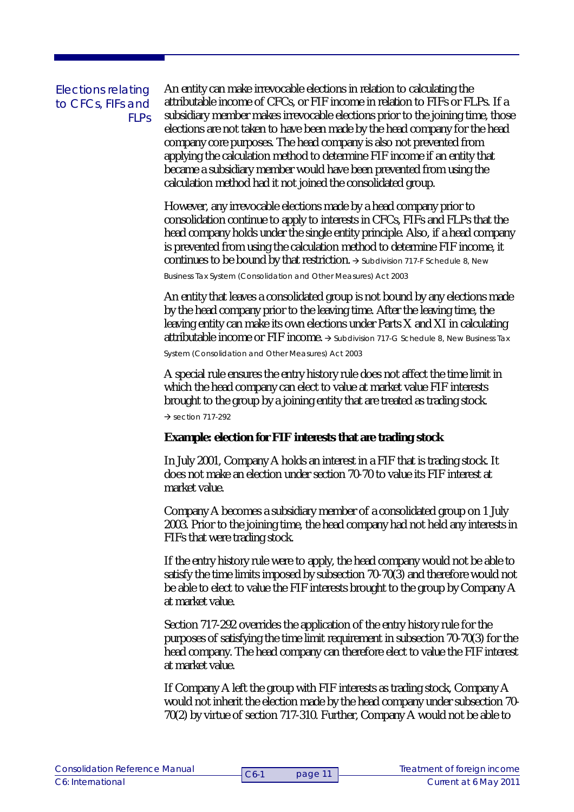## Elections relating to CFCs, FIFs and FLPs

An entity can make irrevocable elections in relation to calculating the attributable income of CFCs, or FIF income in relation to FIFs or FLPs. If a subsidiary member makes irrevocable elections prior to the joining time, those elections are not taken to have been made by the head company for the head company core purposes. The head company is also not prevented from applying the calculation method to determine FIF income if an entity that became a subsidiary member would have been prevented from using the calculation method had it not joined the consolidated group.

However, any irrevocable elections made by a head company prior to consolidation continue to apply to interests in CFCs, FIFs and FLPs that the head company holds under the single entity principle. Also, if a head company is prevented from using the calculation method to determine FIF income, it continues to be bound by that restriction.  $\rightarrow$  Subdivision 717-F Schedule 8, New

*Business Tax System (Consolidation and Other Measures) Act 2003*

An entity that leaves a consolidated group is not bound by any elections made by the head company prior to the leaving time. After the leaving time, the leaving entity can make its own elections under Parts X and XI in calculating attributable income or FIF income. → Subdivision 717-G Schedule 8, New Business Tax

*System (Consolidation and Other Measures) Act 2003*

A special rule ensures the entry history rule does not affect the time limit in which the head company can elect to value at market value FIF interests brought to the group by a joining entity that are treated as trading stock.  $\rightarrow$  section 717-292

**Example: election for FIF interests that are trading stock**

In July 2001, Company A holds an interest in a FIF that is trading stock. It does not make an election under section 70-70 to value its FIF interest at market value.

Company A becomes a subsidiary member of a consolidated group on 1 July 2003. Prior to the joining time, the head company had not held any interests in FIFs that were trading stock.

If the entry history rule were to apply, the head company would not be able to satisfy the time limits imposed by subsection 70-70(3) and therefore would not be able to elect to value the FIF interests brought to the group by Company A at market value.

Section 717-292 overrides the application of the entry history rule for the purposes of satisfying the time limit requirement in subsection 70-70(3) for the head company. The head company can therefore elect to value the FIF interest at market value.

If Company A left the group with FIF interests as trading stock, Company A would not inherit the election made by the head company under subsection 70- 70(2) by virtue of section 717-310. Further, Company A would not be able to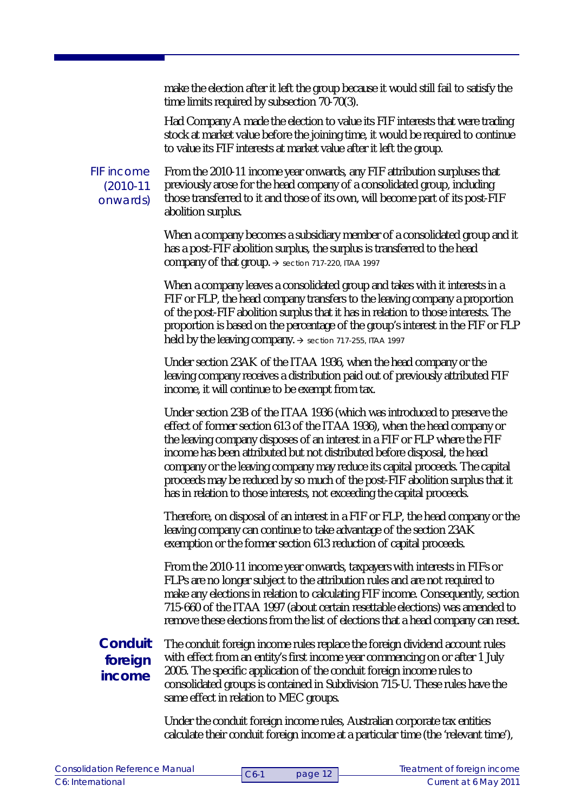make the election after it left the group because it would still fail to satisfy the time limits required by subsection 70-70(3).

Had Company A made the election to value its FIF interests that were trading stock at market value before the joining time, it would be required to continue to value its FIF interests at market value after it left the group.

FIF income (2010-11 onwards)

From the 2010-11 income year onwards, any FIF attribution surpluses that previously arose for the head company of a consolidated group, including those transferred to it and those of its own, will become part of its post-FIF abolition surplus.

When a company becomes a subsidiary member of a consolidated group and it has a post-FIF abolition surplus, the surplus is transferred to the head company of that group.  $\rightarrow$  section 717-220, ITAA 1997

When a company leaves a consolidated group and takes with it interests in a FIF or FLP, the head company transfers to the leaving company a proportion of the post-FIF abolition surplus that it has in relation to those interests. The proportion is based on the percentage of the group's interest in the FIF or FLP held by the leaving company.  $\rightarrow$  section 717-255, ITAA 1997

Under section 23AK of the ITAA 1936, when the head company or the leaving company receives a distribution paid out of previously attributed FIF income, it will continue to be exempt from tax.

Under section 23B of the ITAA 1936 (which was introduced to preserve the effect of former section 613 of the ITAA 1936), when the head company or the leaving company disposes of an interest in a FIF or FLP where the FIF income has been attributed but not distributed before disposal, the head company or the leaving company may reduce its capital proceeds. The capital proceeds may be reduced by so much of the post-FIF abolition surplus that it has in relation to those interests, not exceeding the capital proceeds.

Therefore, on disposal of an interest in a FIF or FLP, the head company or the leaving company can continue to take advantage of the section 23AK exemption or the former section 613 reduction of capital proceeds.

From the 2010-11 income year onwards, taxpayers with interests in FIFs or FLPs are no longer subject to the attribution rules and are not required to make any elections in relation to calculating FIF income. Consequently, section 715-660 of the ITAA 1997 (about certain resettable elections) was amended to remove these elections from the list of elections that a head company can reset.

# **Conduit foreign income**

The conduit foreign income rules replace the foreign dividend account rules with effect from an entity's first income year commencing on or after 1 July 2005. The specific application of the conduit foreign income rules to consolidated groups is contained in Subdivision 715-U. These rules have the same effect in relation to MEC groups.

Under the conduit foreign income rules, Australian corporate tax entities calculate their conduit foreign income at a particular time (the 'relevant time'),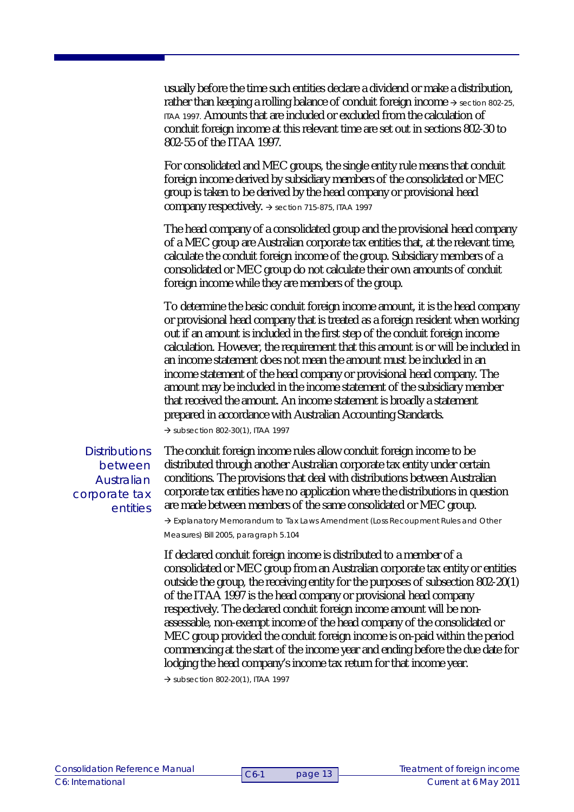usually before the time such entities declare a dividend or make a distribution, rather than keeping a rolling balance of conduit foreign income  $\rightarrow$  section 802-25, ITAA 1997. Amounts that are included or excluded from the calculation of conduit foreign income at this relevant time are set out in sections 802-30 to 802-55 of the ITAA 1997.

For consolidated and MEC groups, the single entity rule means that conduit foreign income derived by subsidiary members of the consolidated or MEC group is taken to be derived by the head company or provisional head company respectively.  $\rightarrow$  section 715-875, ITAA 1997

The head company of a consolidated group and the provisional head company of a MEC group are Australian corporate tax entities that, at the relevant time, calculate the conduit foreign income of the group. Subsidiary members of a consolidated or MEC group do not calculate their own amounts of conduit foreign income while they are members of the group.

To determine the basic conduit foreign income amount, it is the head company or provisional head company that is treated as a foreign resident when working out if an amount is included in the first step of the conduit foreign income calculation. However, the requirement that this amount is or will be included in an income statement does not mean the amount must be included in an income statement of the head company or provisional head company. The amount may be included in the income statement of the subsidiary member that received the amount. An income statement is broadly a statement prepared in accordance with Australian Accounting Standards.

 $\rightarrow$  subsection 802-30(1), ITAA 1997

**Distributions** between Australian corporate tax entities

The conduit foreign income rules allow conduit foreign income to be distributed through another Australian corporate tax entity under certain conditions. The provisions that deal with distributions between Australian corporate tax entities have no application where the distributions in question are made between members of the same consolidated or MEC group.

 $\rightarrow$  Explanatory Memorandum to Tax Laws Amendment (Loss Recoupment Rules and Other Measures) Bill 2005, paragraph 5.104

If declared conduit foreign income is distributed to a member of a consolidated or MEC group from an Australian corporate tax entity or entities outside the group, the receiving entity for the purposes of subsection 802-20(1) of the ITAA 1997 is the head company or provisional head company respectively. The declared conduit foreign income amount will be nonassessable, non-exempt income of the head company of the consolidated or MEC group provided the conduit foreign income is on-paid within the period commencing at the start of the income year and ending before the due date for lodging the head company's income tax return for that income year.

 $\rightarrow$  subsection 802-20(1), ITAA 1997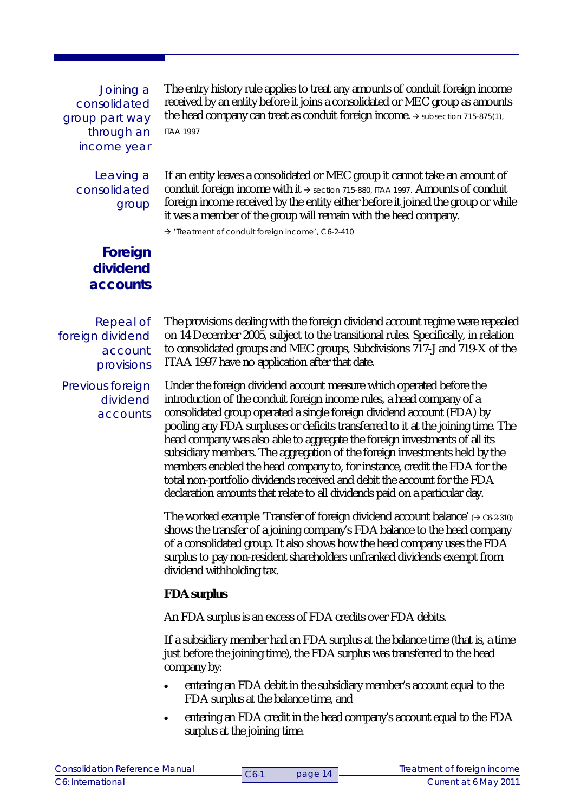Joining a consolidated group part way through an income year

> Leaving a consolidated group

The entry history rule applies to treat any amounts of conduit foreign income received by an entity before it joins a consolidated or MEC group as amounts the head company can treat as conduit foreign income.  $\rightarrow$  subsection 715-875(1), ITAA 1997

If an entity leaves a consolidated or MEC group it cannot take an amount of conduit foreign income with it  $\rightarrow$  section 715-880, ITAA 1997. Amounts of conduit foreign income received by the entity either before it joined the group or while it was a member of the group will remain with the head company.

 $\rightarrow$  'Treatment of conduit foreign income', C6-2-410

**Foreign dividend accounts**

Repeal of foreign dividend account provisions

Previous foreign dividend accounts The provisions dealing with the foreign dividend account regime were repealed on 14 December 2005, subject to the transitional rules. Specifically, in relation to consolidated groups and MEC groups, Subdivisions 717-J and 719-X of the ITAA 1997 have no application after that date.

Under the foreign dividend account measure which operated before the introduction of the conduit foreign income rules, a head company of a consolidated group operated a single foreign dividend account (FDA) by pooling any FDA surpluses or deficits transferred to it at the joining time. The head company was also able to aggregate the foreign investments of all its subsidiary members. The aggregation of the foreign investments held by the members enabled the head company to, for instance, credit the FDA for the total non-portfolio dividends received and debit the account for the FDA declaration amounts that relate to all dividends paid on a particular day.

The worked example 'Transfer of foreign dividend account balance'  $(\rightarrow c_6$ -2-310) shows the transfer of a joining company's FDA balance to the head company of a consolidated group. It also shows how the head company uses the FDA surplus to pay non-resident shareholders unfranked dividends exempt from dividend withholding tax.

**FDA surplus**

An FDA surplus is an excess of FDA credits over FDA debits.

If a subsidiary member had an FDA surplus at the balance time (that is, a time just before the joining time), the FDA surplus was transferred to the head company by:

- entering an FDA debit in the subsidiary member's account equal to the FDA surplus at the balance time, and
- entering an FDA credit in the head company's account equal to the FDA surplus at the joining time.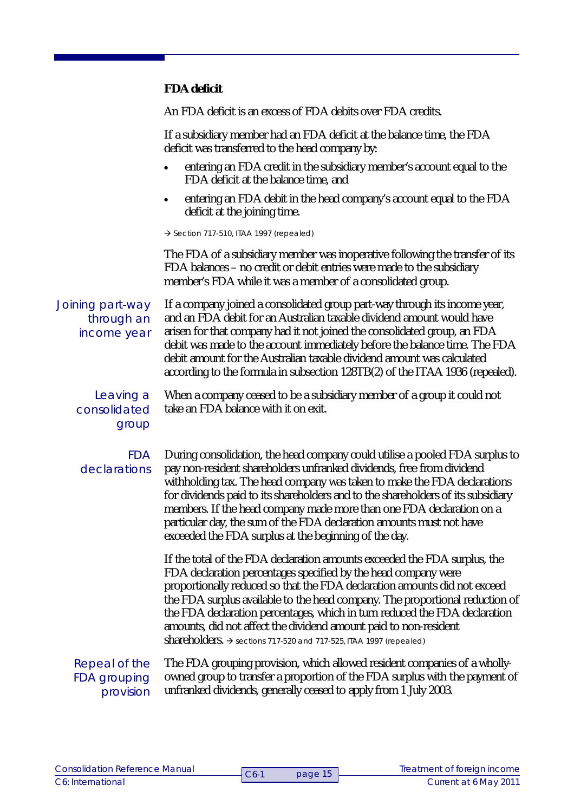**FDA deficit**

An FDA deficit is an excess of FDA debits over FDA credits.

If a subsidiary member had an FDA deficit at the balance time, the FDA deficit was transferred to the head company by:

- entering an FDA credit in the subsidiary member's account equal to the FDA deficit at the balance time, and
- entering an FDA debit in the head company's account equal to the FDA deficit at the joining time.

 $\rightarrow$  Section 717-510, ITAA 1997 (repealed)

The FDA of a subsidiary member was inoperative following the transfer of its FDA balances – no credit or debit entries were made to the subsidiary member's FDA while it was a member of a consolidated group.

Joining part-way through an income year

If a company joined a consolidated group part-way through its income year, and an FDA debit for an Australian taxable dividend amount would have arisen for that company had it not joined the consolidated group, an FDA debit was made to the account immediately before the balance time. The FDA debit amount for the Australian taxable dividend amount was calculated according to the formula in subsection 128TB(2) of the ITAA 1936 (repealed).

Leaving a consolidated group

When a company ceased to be a subsidiary member of a group it could not take an FDA balance with it on exit.

#### FDA declarations

During consolidation, the head company could utilise a pooled FDA surplus to pay non-resident shareholders unfranked dividends, free from dividend withholding tax. The head company was taken to make the FDA declarations for dividends paid to its shareholders and to the shareholders of its subsidiary members. If the head company made more than one FDA declaration on a particular day, the sum of the FDA declaration amounts must not have exceeded the FDA surplus at the beginning of the day.

If the total of the FDA declaration amounts exceeded the FDA surplus, the FDA declaration percentages specified by the head company were proportionally reduced so that the FDA declaration amounts did not exceed the FDA surplus available to the head company. The proportional reduction of the FDA declaration percentages, which in turn reduced the FDA declaration amounts, did not affect the dividend amount paid to non-resident shareholders.  $\rightarrow$  sections 717-520 and 717-525, ITAA 1997 (repealed)

## Repeal of the FDA grouping provision

The FDA grouping provision, which allowed resident companies of a whollyowned group to transfer a proportion of the FDA surplus with the payment of unfranked dividends, generally ceased to apply from 1 July 2003.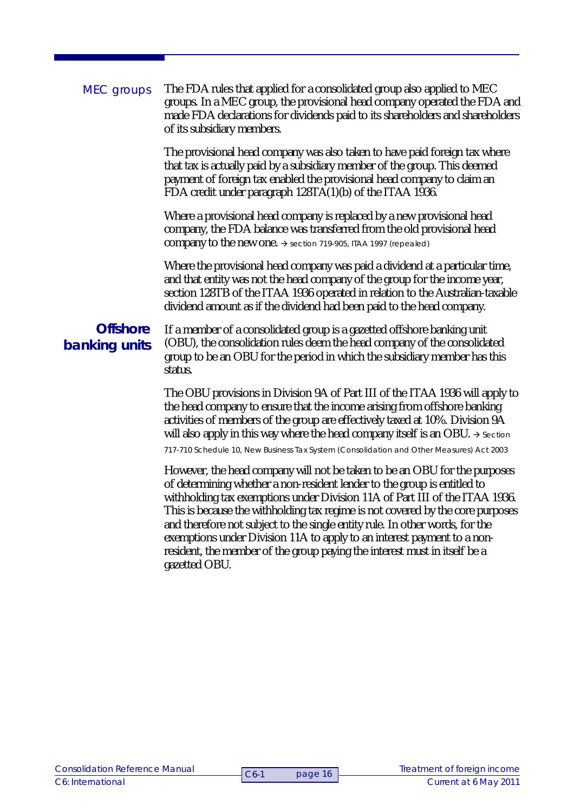| MEC groups                       | The FDA rules that applied for a consolidated group also applied to MEC<br>groups. In a MEC group, the provisional head company operated the FDA and<br>made FDA declarations for dividends paid to its shareholders and shareholders<br>of its subsidiary members.                                                                                                                                                                                                                                                                                                             |
|----------------------------------|---------------------------------------------------------------------------------------------------------------------------------------------------------------------------------------------------------------------------------------------------------------------------------------------------------------------------------------------------------------------------------------------------------------------------------------------------------------------------------------------------------------------------------------------------------------------------------|
|                                  | The provisional head company was also taken to have paid foreign tax where<br>that tax is actually paid by a subsidiary member of the group. This deemed<br>payment of foreign tax enabled the provisional head company to claim an<br>FDA credit under paragraph 128TA(1)(b) of the ITAA 1936.                                                                                                                                                                                                                                                                                 |
|                                  | Where a provisional head company is replaced by a new provisional head<br>company, the FDA balance was transferred from the old provisional head<br>company to the new one. $\rightarrow$ section 719-905, ITAA 1997 (repealed)                                                                                                                                                                                                                                                                                                                                                 |
|                                  | Where the provisional head company was paid a dividend at a particular time,<br>and that entity was not the head company of the group for the income year,<br>section 128TB of the ITAA 1936 operated in relation to the Australian-taxable<br>dividend amount as if the dividend had been paid to the head company.                                                                                                                                                                                                                                                            |
| <b>Offshore</b><br>banking units | If a member of a consolidated group is a gazetted offshore banking unit<br>(OBU), the consolidation rules deem the head company of the consolidated<br>group to be an OBU for the period in which the subsidiary member has this<br>status.                                                                                                                                                                                                                                                                                                                                     |
|                                  | The OBU provisions in Division 9A of Part III of the ITAA 1936 will apply to<br>the head company to ensure that the income arising from offshore banking<br>activities of members of the group are effectively taxed at 10%. Division 9A<br>will also apply in this way where the head company itself is an OBU. $\rightarrow$ Section<br>717-710 Schedule 10, New Business Tax System (Consolidation and Other Measures) Act 2003                                                                                                                                              |
|                                  | However, the head company will not be taken to be an OBU for the purposes<br>of determining whether a non-resident lender to the group is entitled to<br>withholding tax exemptions under Division 11A of Part III of the ITAA 1936.<br>This is because the withholding tax regime is not covered by the core purposes<br>and therefore not subject to the single entity rule. In other words, for the<br>exemptions under Division 11A to apply to an interest payment to a non-<br>resident, the member of the group paying the interest must in itself be a<br>gazetted OBU. |
|                                  |                                                                                                                                                                                                                                                                                                                                                                                                                                                                                                                                                                                 |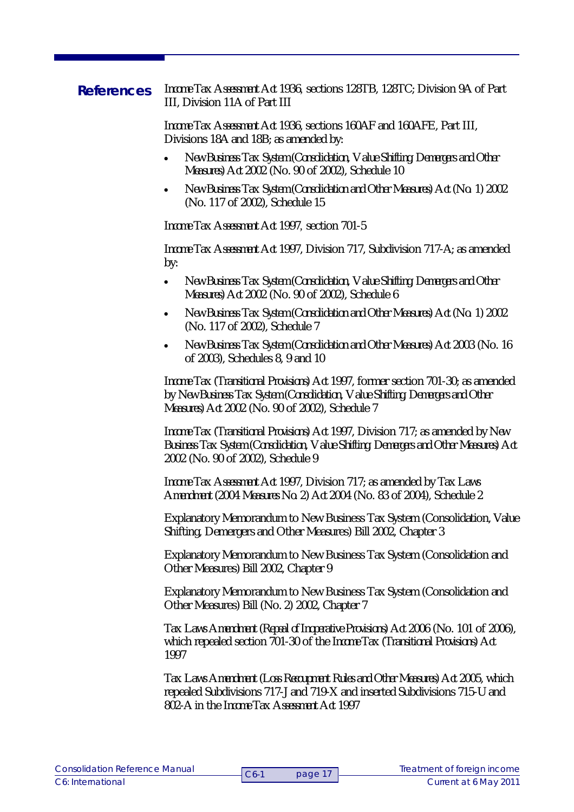*Income Tax Assessment Act 1936,* sections 128TB, 128TC; Division 9A of Part III, Division 11A of Part III **References**

> *Income Tax Assessment Act 1936*, sections 160AF and 160AFE, Part III, Divisions 18A and 18B; as amended by:

- *New Business Tax System (Consolidation, Value Shifting, Demergers and Other Measures) Act 2002* (No. 90 of 2002), Schedule 10
- *New Business Tax System (Consolidation and Other Measures) Act (No. 1) 2002* (No. 117 of 2002), Schedule 15

*Income Tax Assessment Act 1997,* section 701-5

*Income Tax Assessment Act 1997,* Division 717, Subdivision 717-A; as amended by:

- *New Business Tax System (Consolidation, Value Shifting, Demergers and Other Measures) Act 2002* (No. 90 of 2002), Schedule 6
- *New Business Tax System (Consolidation and Other Measures) Act (No. 1) 2002* (No. 117 of 2002), Schedule 7
- *New Business Tax System (Consolidation and Other Measures) Act 2003* (No. 16 of 2003), Schedules 8, 9 and 10

*Income Tax (Transitional Provisions) Act 1997*, former section 701-30; as amended by *New Business Tax System (Consolidation, Value Shifting, Demergers and Other Measures) Act 2002* (No. 90 of 2002), Schedule 7

*Income Tax (Transitional Provisions) Act 1997,* Division 717; as amended by *New Business Tax System (Consolidation, Value Shifting, Demergers and Other Measures) Act 2002* (No. 90 of 2002), Schedule 9

*Income Tax Assessment Act 1997,* Division 717; as amended by *Tax Laws Amendment (2004 Measures No. 2) Act 2004* (No. 83 of 2004), Schedule 2

Explanatory Memorandum to New Business Tax System (Consolidation, Value Shifting, Demergers and Other Measures) Bill 2002, Chapter 3

Explanatory Memorandum to New Business Tax System (Consolidation and Other Measures) Bill 2002, Chapter 9

Explanatory Memorandum to New Business Tax System (Consolidation and Other Measures) Bill (No. 2) 2002, Chapter 7

*Tax Laws Amendment (Repeal of Inoperative Provisions) Act 2006* (No. 101 of 2006), which repealed section 701-30 of the *Income Tax (Transitional Provisions) Act 1997*

*Tax Laws Amendment (Loss Recoupment Rules and Other Measures) Act 2005,* which repealed Subdivisions 717-J and 719-X and inserted Subdivisions 715-U and 802-A in the *Income Tax Assessment Act 1997*